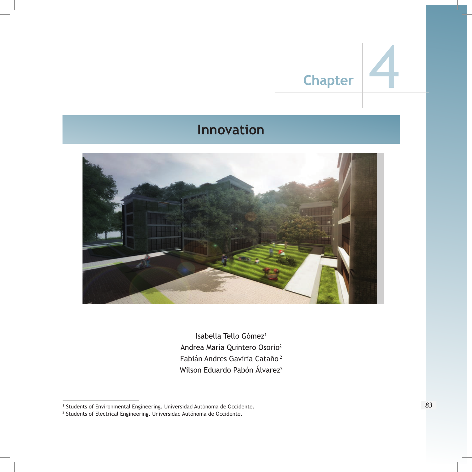# **Chapter**

## **Innovation**



Isabella Tello Gómez<sup>1</sup> Andrea María Quintero Osorio<sup>2</sup> Fabián Andres Gaviria Cataño<sup>2</sup> Wilson Eduardo Pabón Álvarez<sup>2</sup>

<sup>1</sup> Students of Environmental Engineering. Universidad Autónoma de Occidente.

 $^2$  Students of Electrical Engineering. Universidad Autónoma de Occidente.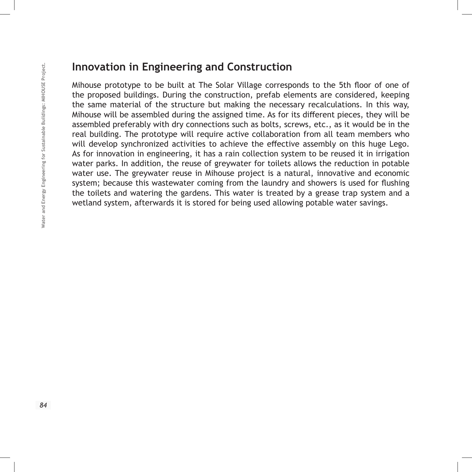#### **Innovation in Engineering and Construction**

Mihouse prototype to be built at The Solar Village corresponds to the 5th floor of one of the proposed buildings. During the construction, prefab elements are considered, keeping the same material of the structure but making the necessary recalculations. In this way, Mihouse will be assembled during the assigned time. As for its different pieces, they will be assembled preferably with dry connections such as bolts, screws, etc., as it would be in the real building. The prototype will require active collaboration from all team members who will develop synchronized activities to achieve the effective assembly on this huge Lego. As for innovation in engineering, it has a rain collection system to be reused it in irrigation water parks. In addition, the reuse of greywater for toilets allows the reduction in potable water use. The greywater reuse in Mihouse project is a natural, innovative and economic system; because this wastewater coming from the laundry and showers is used for flushing the toilets and watering the gardens. This water is treated by a grease trap system and a wetland system, afterwards it is stored for being used allowing potable water savings.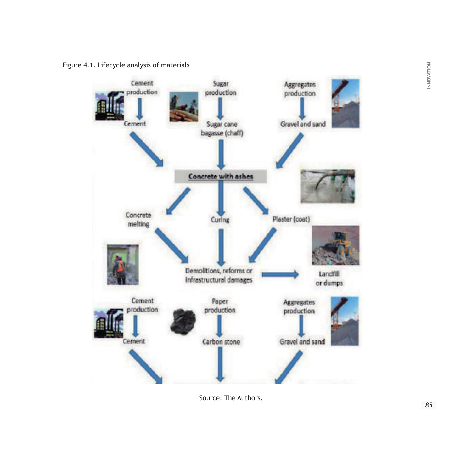Figure 4.1. Lifecycle analysis of materials



Source: The Authors.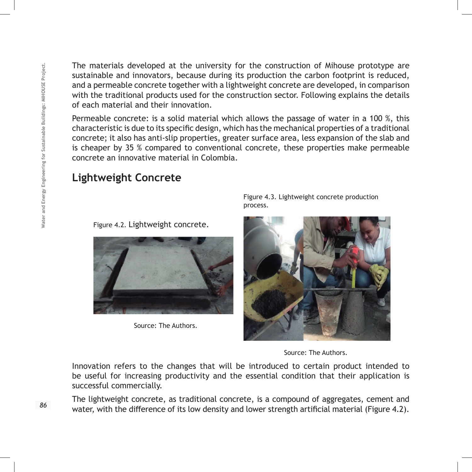The materials developed at the university for the construction of Mihouse prototype are sustainable and innovators, because during its production the carbon footprint is reduced, and a permeable concrete together with a lightweight concrete are developed, in comparison with the traditional products used for the construction sector. Following explains the details of each material and their innovation.

Permeable concrete: is a solid material which allows the passage of water in a 100 %, this characteristic is due to its specific design, which has the mechanical properties of a traditional concrete; it also has anti-slip properties, greater surface area, less expansion of the slab and is cheaper by 35 % compared to conventional concrete, these properties make permeable concrete an innovative material in Colombia.

#### **Lightweight Concrete**

Figure 4.2. Lightweight concrete.



Source: The Authors.

Figure 4.3. Lightweight concrete production process.



Source: The Authors.

Innovation refers to the changes that will be introduced to certain product intended to be useful for increasing productivity and the essential condition that their application is successful commercially.

The lightweight concrete, as traditional concrete, is a compound of aggregates, cement and water, with the difference of its low density and lower strength artificial material (Figure 4.2).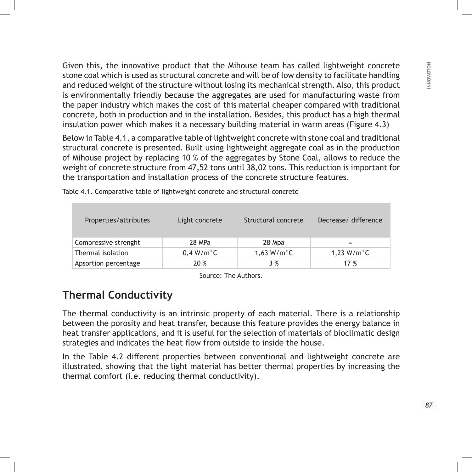Given this, the innovative product that the Mihouse team has called lightweight concrete stone coal which is used as structural concrete and will be of low density to facilitate handling and reduced weight of the structure without losing its mechanical strength. Also, this product is environmentally friendly because the aggregates are used for manufacturing waste from the paper industry which makes the cost of this material cheaper compared with traditional concrete, both in production and in the installation. Besides, this product has a high thermal insulation power which makes it a necessary building material in warm areas (Figure 4.3)

Below in Table 4.1, a comparative table of lightweight concrete with stone coal and traditional structural concrete is presented. Built using lightweight aggregate coal as in the production of Mihouse project by replacing 10 % of the aggregates by Stone Coal, allows to reduce the weight of concrete structure from 47,52 tons until 38,02 tons. This reduction is important for the transportation and installation process of the concrete structure features.

| Properties/attributes | Light concrete         | Structural concrete     | Decrease/ difference    |
|-----------------------|------------------------|-------------------------|-------------------------|
| Compressive strenght  | 28 MPa                 | 28 Mpa                  | $=$                     |
| Thermal isolation     | $0,4$ W/m $^{\circ}$ C | $1,63$ W/m $^{\circ}$ C | $1,23$ W/m $^{\circ}$ C |
| Apsortion percentage  | 20%                    | 3%                      | 17 %                    |

Table 4.1. Comparative table of lightweight concrete and structural concrete

Source: The Authors.

#### **Thermal Conductivity**

The thermal conductivity is an intrinsic property of each material. There is a relationship between the porosity and heat transfer, because this feature provides the energy balance in heat transfer applications, and it is useful for the selection of materials of bioclimatic design strategies and indicates the heat flow from outside to inside the house.

In the Table 4.2 different properties between conventional and lightweight concrete are illustrated, showing that the light material has better thermal properties by increasing the thermal comfort (i.e. reducing thermal conductivity).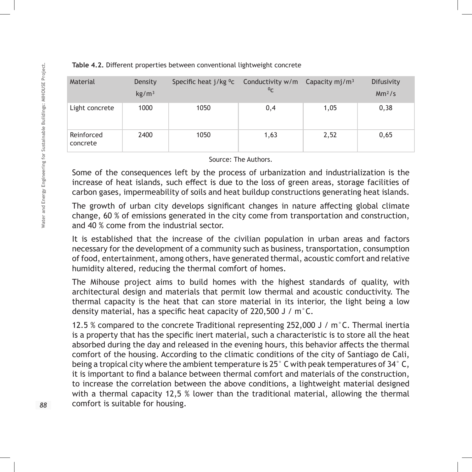| Material               | Density<br>kg/m <sup>3</sup> | Specific heat j/kg <sup>o</sup> c | Conductivity $w/m$ Capacity mj/m <sup>3</sup><br>$^{0}C$ |      | Difusivity<br>$Mm^2/s$ |
|------------------------|------------------------------|-----------------------------------|----------------------------------------------------------|------|------------------------|
| Light concrete         | 1000                         | 1050                              | 0,4                                                      | 1,05 | 0,38                   |
| Reinforced<br>concrete | 2400                         | 1050                              | 1,63                                                     | 2,52 | 0,65                   |

#### **Table 4.2.** Different properties between conventional lightweight concrete

Source: The Authors.

Some of the consequences left by the process of urbanization and industrialization is the increase of heat islands, such effect is due to the loss of green areas, storage facilities of carbon gases, impermeability of soils and heat buildup constructions generating heat islands.

The growth of urban city develops significant changes in nature affecting global climate change, 60 % of emissions generated in the city come from transportation and construction, and 40 % come from the industrial sector.

It is established that the increase of the civilian population in urban areas and factors necessary for the development of a community such as business, transportation, consumption of food, entertainment, among others, have generated thermal, acoustic comfort and relative humidity altered, reducing the thermal comfort of homes.

The Mihouse project aims to build homes with the highest standards of quality, with architectural design and materials that permit low thermal and acoustic conductivity. The thermal capacity is the heat that can store material in its interior, the light being a low density material, has a specific heat capacity of 220,500 J / m°C.

12.5 % compared to the concrete Traditional representing 252,000 J / m°C. Thermal inertia is a property that has the specific inert material, such a characteristic is to store all the heat absorbed during the day and released in the evening hours, this behavior affects the thermal comfort of the housing. According to the climatic conditions of the city of Santiago de Cali, being a tropical city where the ambient temperature is 25° C with peak temperatures of 34° C, it is important to find a balance between thermal comfort and materials of the construction, to increase the correlation between the above conditions, a lightweight material designed with a thermal capacity 12,5 % lower than the traditional material, allowing the thermal comfort is suitable for housing.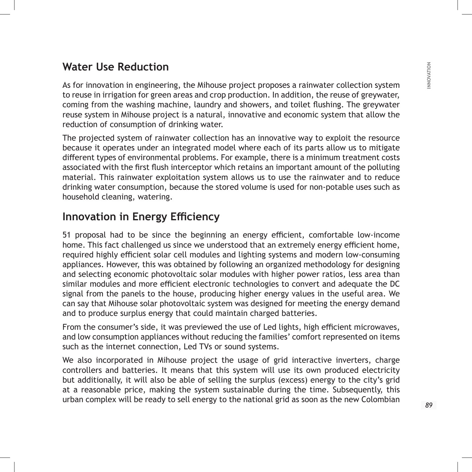#### **Water Use Reduction**

As for innovation in engineering, the Mihouse project proposes a rainwater collection system to reuse in irrigation for green areas and crop production. In addition, the reuse of greywater, coming from the washing machine, laundry and showers, and toilet flushing. The greywater reuse system in Mihouse project is a natural, innovative and economic system that allow the reduction of consumption of drinking water.

The projected system of rainwater collection has an innovative way to exploit the resource because it operates under an integrated model where each of its parts allow us to mitigate different types of environmental problems. For example, there is a minimum treatment costs associated with the first flush interceptor which retains an important amount of the polluting material. This rainwater exploitation system allows us to use the rainwater and to reduce drinking water consumption, because the stored volume is used for non-potable uses such as household cleaning, watering.

#### **Innovation in Energy Efficiency**

51 proposal had to be since the beginning an energy efficient, comfortable low-income home. This fact challenged us since we understood that an extremely energy efficient home, required highly efficient solar cell modules and lighting systems and modern low-consuming appliances. However, this was obtained by following an organized methodology for designing and selecting economic photovoltaic solar modules with higher power ratios, less area than similar modules and more efficient electronic technologies to convert and adequate the DC signal from the panels to the house, producing higher energy values in the useful area. We can say that Mihouse solar photovoltaic system was designed for meeting the energy demand and to produce surplus energy that could maintain charged batteries.

From the consumer's side, it was previewed the use of Led lights, high efficient microwaves, and low consumption appliances without reducing the families' comfort represented on items such as the internet connection, Led TVs or sound systems.

We also incorporated in Mihouse project the usage of grid interactive inverters, charge controllers and batteries. It means that this system will use its own produced electricity but additionally, it will also be able of selling the surplus (excess) energy to the city's grid at a reasonable price, making the system sustainable during the time. Subsequently, this urban complex will be ready to sell energy to the national grid as soon as the new Colombian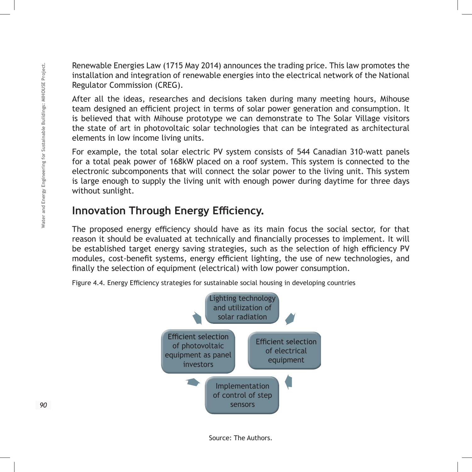Renewable Energies Law (1715 May 2014) announces the trading price. This law promotes the installation and integration of renewable energies into the electrical network of the National Regulator Commission (CREG).

After all the ideas, researches and decisions taken during many meeting hours, Mihouse team designed an efficient project in terms of solar power generation and consumption. It is believed that with Mihouse prototype we can demonstrate to The Solar Village visitors the state of art in photovoltaic solar technologies that can be integrated as architectural elements in low income living units.

For example, the total solar electric PV system consists of 544 Canadian 310-watt panels for a total peak power of 168kW placed on a roof system. This system is connected to the electronic subcomponents that will connect the solar power to the living unit. This system is large enough to supply the living unit with enough power during daytime for three days without sunlight.

#### **Innovation Through Energy Efficiency.**

The proposed energy efficiency should have as its main focus the social sector, for that reason it should be evaluated at technically and financially processes to implement. It will be established target energy saving strategies, such as the selection of high efficiency PV modules, cost-benefit systems, energy efficient lighting, the use of new technologies, and finally the selection of equipment (electrical) with low power consumption.



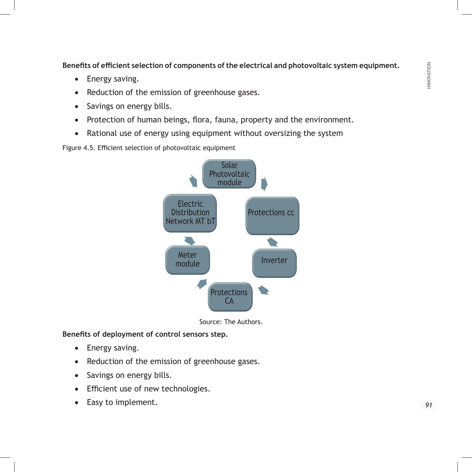**Benefits of efficient selection of components of the electrical and photovoltaic system equipment.**

- Energy saving.
- Reduction of the emission of greenhouse gases.
- Savings on energy bills.
- Protection of human beings, flora, fauna, property and the environment.
- Rational use of energy using equipment without oversizing the system

Figure 4.5. Efficient selection of photovoltaic equipment



Source: The Authors.

**Benefits of deployment of control sensors step.**

- Energy saving.
- Reduction of the emission of greenhouse gases.
- Savings on energy bills.
- • Efficient use of new technologies.
- Easy to implement.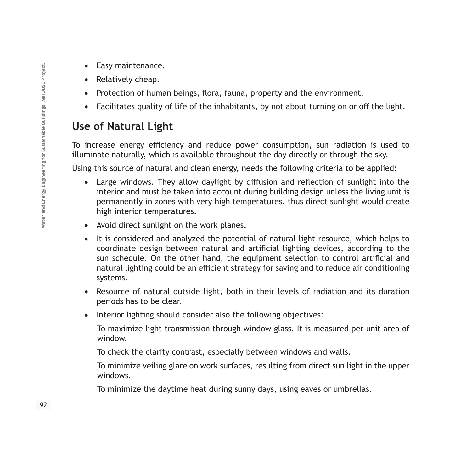- Easy maintenance.
- Relatively cheap.
- Protection of human beings, flora, fauna, property and the environment.
- Facilitates quality of life of the inhabitants, by not about turning on or off the light.

### **Use of Natural Light**

To increase energy efficiency and reduce power consumption, sun radiation is used to illuminate naturally, which is available throughout the day directly or through the sky.

Using this source of natural and clean energy, needs the following criteria to be applied:

- Large windows. They allow daylight by diffusion and reflection of sunlight into the interior and must be taken into account during building design unless the living unit is permanently in zones with very high temperatures, thus direct sunlight would create high interior temperatures.
- • Avoid direct sunlight on the work planes.
- It is considered and analyzed the potential of natural light resource, which helps to coordinate design between natural and artificial lighting devices, according to the sun schedule. On the other hand, the equipment selection to control artificial and natural lighting could be an efficient strategy for saving and to reduce air conditioning systems.
- Resource of natural outside light, both in their levels of radiation and its duration periods has to be clear.
- Interior lighting should consider also the following objectives:

To maximize light transmission through window glass. It is measured per unit area of window.

To check the clarity contrast, especially between windows and walls.

To minimize veiling glare on work surfaces, resulting from direct sun light in the upper windows.

To minimize the daytime heat during sunny days, using eaves or umbrellas.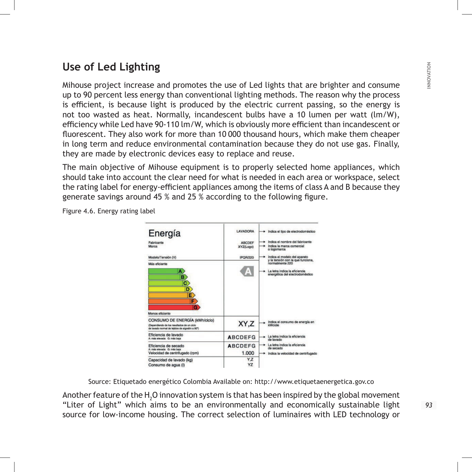### **Use of Led Lighting**

Mihouse project increase and promotes the use of Led lights that are brighter and consume up to 90 percent less energy than conventional lighting methods. The reason why the process is efficient, is because light is produced by the electric current passing, so the energy is not too wasted as heat. Normally, incandescent bulbs have a 10 lumen per watt (lm/W), efficiency while Led have 90-110 lm/W, which is obviously more efficient than incandescent or fluorescent. They also work for more than 10000 thousand hours, which make them cheaper in long term and reduce environmental contamination because they do not use gas. Finally, they are made by electronic devices easy to replace and reuse.

The main objective of Mihouse equipment is to properly selected home appliances, which should take into account the clear need for what is needed in each area or workspace, select the rating label for energy-efficient appliances among the items of class A and B because they generate savings around 45 % and 25 % according to the following figure.

| Energía<br>Fabricante<br>Marca                                                                                                | LAVADORA<br><b>ABCDEF</b><br>XYZ(Logo) | Indica el tipo de electrodoméstico<br>Indica el nombre del fabricante<br>Indica la marca comercial<br>o logomarca                                        |
|-------------------------------------------------------------------------------------------------------------------------------|----------------------------------------|----------------------------------------------------------------------------------------------------------------------------------------------------------|
| Modelo/Tensión (V)<br>Más eficiente<br>A.<br>B)<br>C)<br>D<br>E.<br>F<br>G                                                    | <b>IPOR/220</b><br>$\mathbb{A}$        | Indica el modelo del aparato<br>y la tensión con la que funciona,<br>normalmente 220<br>La letra indica la eficiencia<br>energética del electrodoméstico |
| Menos eficiente                                                                                                               |                                        |                                                                                                                                                          |
| CONSUMO DE ENERGÍA (kWh/ciclo)<br>(Dependiendo de los resultados de un ciclo<br>de lavado normal de telidos de algodón a 60°) | XY,Z                                   | Indica el consumo de energía en<br>kWcicle                                                                                                               |
| Eficiencia de lavado<br>A: más elevada G: más baja                                                                            | <b>ABCDEFG</b>                         | La letra indica la eficiencia<br>de Invado                                                                                                               |
| Eficiencia de secado<br>A: más elevada G: más baja<br>Velocidad de centrifugado (rpm)                                         | <b>ABCDEFG</b><br>1.000                | La letra indica la eficiencia<br>de secado<br>Indica la velocidad de centrifugado                                                                        |
| Capacidad de lavado (kg)<br>Consumo de agua (I)                                                                               | Y.Z<br>YZ                              |                                                                                                                                                          |

Figure 4.6. Energy rating label

Source: Etiquetado energético Colombia Available on: http://www.etiquetaenergetica.gov.co

Another feature of the  $\text{H}_{\text{2}}\text{O}$  innovation system is that has been inspired by the global movement "Liter of Light" which aims to be an environmentally and economically sustainable light source for low-income housing. The correct selection of luminaires with LED technology or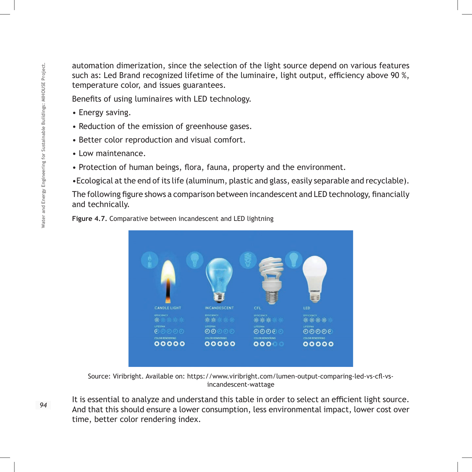automation dimerization, since the selection of the light source depend on various features such as: Led Brand recognized lifetime of the luminaire, light output, efficiency above 90 %, temperature color, and issues guarantees.

Benefits of using luminaires with LED technology.

- Energy saving.
- Reduction of the emission of greenhouse gases.
- Better color reproduction and visual comfort.
- Low maintenance.
- Protection of human beings, flora, fauna, property and the environment.
- •Ecological at the end of its life (aluminum, plastic and glass, easily separable and recyclable).

The following figure shows a comparison between incandescent and LED technology, financially and technically.

**Figure 4.7.** Comparative between incandescent and LED lightning



Source: Viribright. Available on: https://www.viribright.com/lumen-output-comparing-led-vs-cfl-vsincandescent-wattage

It is essential to analyze and understand this table in order to select an efficient light source. And that this should ensure a lower consumption, less environmental impact, lower cost over time, better color rendering index.

94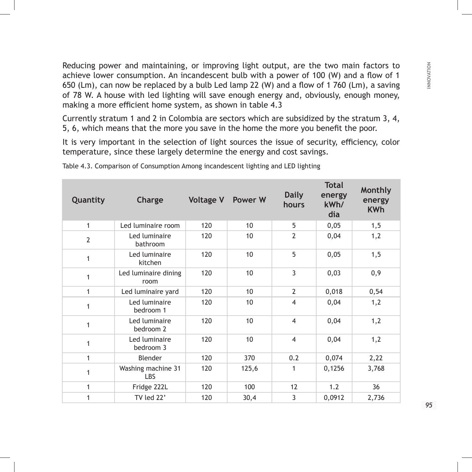Reducing power and maintaining, or improving light output, are the two main factors to achieve lower consumption. An incandescent bulb with a power of 100 (W) and a flow of 1 650 (Lm), can now be replaced by a bulb Led lamp 22 (W) and a flow of 1 760 (Lm), a saving of 78 W. A house with led lighting will save enough energy and, obviously, enough money, making a more efficient home system, as shown in table 4.3

Currently stratum 1 and 2 in Colombia are sectors which are subsidized by the stratum 3, 4, 5, 6, which means that the more you save in the home the more you benefit the poor.

It is very important in the selection of light sources the issue of security, efficiency, color temperature, since these largely determine the energy and cost savings.

| Quantity       | Charge                       | <b>Voltage V</b> | <b>Power W</b> | <b>Daily</b><br>hours | <b>Total</b><br>energy<br>kWh/<br>dia | Monthly<br>energy<br><b>KWh</b> |
|----------------|------------------------------|------------------|----------------|-----------------------|---------------------------------------|---------------------------------|
| $\mathbf{1}$   | Led luminaire room           | 120              | 10             | 5                     | 0,05                                  | 1, 5                            |
| $\overline{2}$ | Led luminaire<br>bathroom    | 120              | 10             | $\overline{2}$        | 0,04                                  | 1,2                             |
| $\mathbf{1}$   | Led luminaire<br>kitchen     | 120              | 10             | 5                     | 0,05                                  | 1, 5                            |
| 1              | Led luminaire dining<br>room | 120              | 10             | 3                     | 0,03                                  | 0,9                             |
| 1              | Led luminaire yard           | 120              | 10             | $\overline{2}$        | 0,018                                 | 0,54                            |
| 1              | Led luminaire<br>bedroom 1   | 120              | 10             | $\overline{4}$        | 0,04                                  | 1,2                             |
| $\mathbf{1}$   | Led luminaire<br>bedroom 2   | 120              | 10             | $\overline{4}$        | 0,04                                  | 1,2                             |
| $\mathbf{1}$   | Led luminaire<br>bedroom 3   | 120              | 10             | $\overline{4}$        | 0,04                                  | 1,2                             |
| 1              | Blender                      | 120              | 370            | 0.2                   | 0,074                                 | 2,22                            |
| $\mathbf{1}$   | Washing machine 31<br>LBS    | 120              | 125,6          | 1                     | 0,1256                                | 3,768                           |
| 1              | Fridge 222L                  | 120              | 100            | 12                    | 1.2                                   | 36                              |
| 1              | TV led 22'                   | 120              | 30,4           | 3                     | 0,0912                                | 2,736                           |

Table 4.3. Comparison of Consumption Among incandescent lighting and LED lighting

95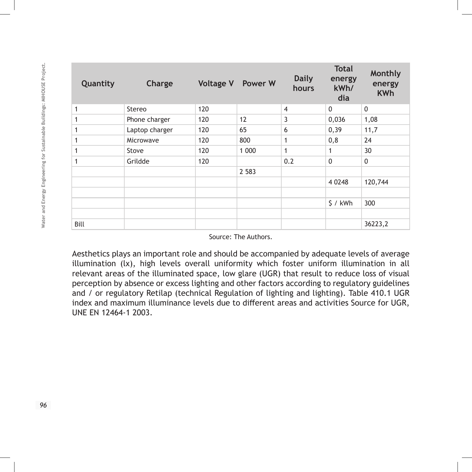| Quantity | Charge         |     | <b>Voltage V</b> Power W | <b>Daily</b><br>hours | <b>Total</b><br>energy<br>kWh/<br>dia | Monthly<br>energy<br><b>KWh</b> |
|----------|----------------|-----|--------------------------|-----------------------|---------------------------------------|---------------------------------|
| 1        | Stereo         | 120 |                          | $\overline{4}$        | $\mathbf 0$                           | $\mathbf 0$                     |
|          | Phone charger  | 120 | 12                       | 3                     | 0,036                                 | 1,08                            |
| 1        | Laptop charger | 120 | 65                       | 6                     | 0, 39                                 | 11,7                            |
|          | Microwave      | 120 | 800                      | 1                     | 0,8                                   | 24                              |
|          | Stove          | 120 | 1 000                    | 1                     | 1                                     | 30                              |
| 1        | Grildde        | 120 |                          | 0.2                   | $\mathbf 0$                           | $\mathbf 0$                     |
|          |                |     | 2 5 8 3                  |                       |                                       |                                 |
|          |                |     |                          |                       | 4 0 248                               | 120,744                         |
|          |                |     |                          |                       |                                       |                                 |
|          |                |     |                          |                       | $$/$ kWh                              | 300                             |
|          |                |     |                          |                       |                                       |                                 |
| Bill     |                |     |                          |                       |                                       | 36223,2                         |

Source: The Authors.

Aesthetics plays an important role and should be accompanied by adequate levels of average illumination (lx), high levels overall uniformity which foster uniform illumination in all relevant areas of the illuminated space, low glare (UGR) that result to reduce loss of visual perception by absence or excess lighting and other factors according to regulatory guidelines and / or regulatory Retilap (technical Regulation of lighting and lighting). Table 410.1 UGR index and maximum illuminance levels due to different areas and activities Source for UGR, UNE EN 12464-1 2003.